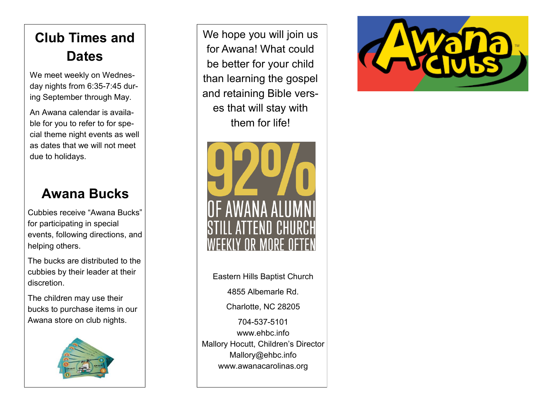## **Club Times and Dates**

We meet weekly on Wednesday nights from 6:35-7:45 during September through May.

An Awana calendar is available for you to refer to for special theme night events as well as dates that we will not meet due to holidays.

#### **Awana Bucks**

Cubbies receive "Awana Bucks" for participating in special events, following directions, and helping others.

The bucks are distributed to the cubbies by their leader at their discretion.

The children may use their bucks to purchase items in our Awana store on club nights.



We hope you will join us for Awana! What could be better for your child than learning the gospel and retaining Bible verses that will stay with them for life!



Eastern Hills Baptist Church 4855 Albemarle Rd. Charlotte, NC 28205 704-537-5101

www.ehbc.info Mallory Hocutt, Children's Director Mallory@ehbc.info www.awanacarolinas.org